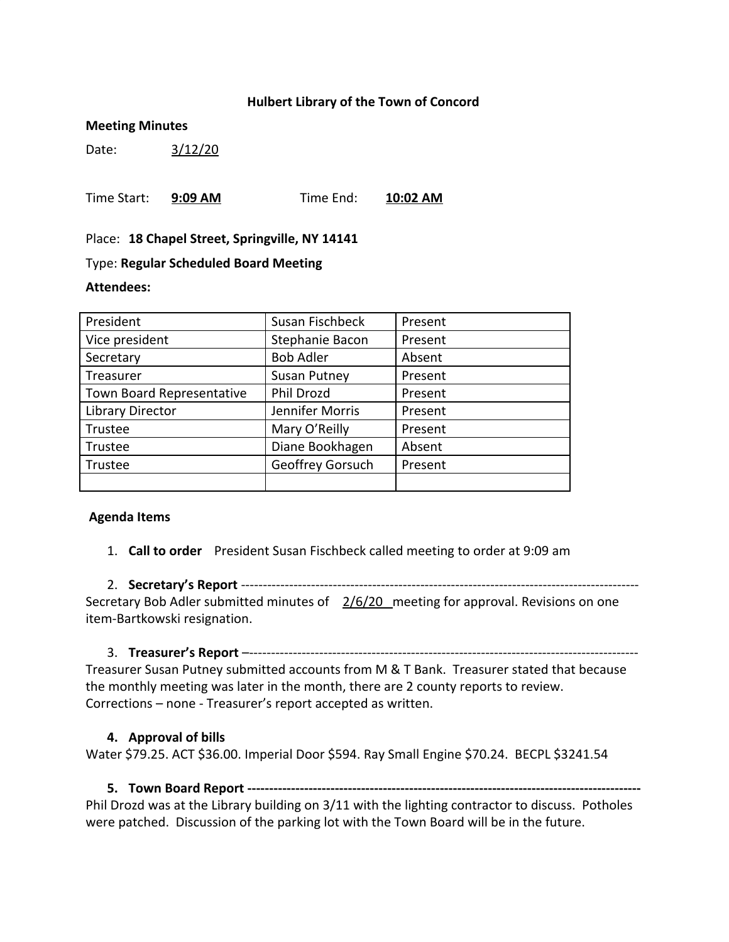### **Hulbert Library of the Town of Concord**

#### **Meeting Minutes**

Date: 3/12/20

Time Start: **9:09 AM** Time End: **10:02 AM**

### Place: **18 Chapel Street, Springville, NY 14141**

### Type: **Regular Scheduled Board Meeting**

### **Attendees:**

| President                 | Susan Fischbeck  | Present |
|---------------------------|------------------|---------|
| Vice president            | Stephanie Bacon  | Present |
| Secretary                 | <b>Bob Adler</b> | Absent  |
| Treasurer                 | Susan Putney     | Present |
| Town Board Representative | Phil Drozd       | Present |
| Library Director          | Jennifer Morris  | Present |
| Trustee                   | Mary O'Reilly    | Present |
| Trustee                   | Diane Bookhagen  | Absent  |
| Trustee                   | Geoffrey Gorsuch | Present |
|                           |                  |         |

### **Agenda Items**

1. **Call to order** President Susan Fischbeck called meeting to order at 9:09 am

2. **Secretary's Report** ------------------------------------------------------------------------------------------- Secretary Bob Adler submitted minutes of 2/6/20 meeting for approval. Revisions on one item-Bartkowski resignation.

## 3. **Treasurer's Report** –-----------------------------------------------------------------------------------------

Treasurer Susan Putney submitted accounts from M & T Bank. Treasurer stated that because the monthly meeting was later in the month, there are 2 county reports to review. Corrections – none - Treasurer's report accepted as written.

### **4. Approval of bills**

Water \$79.25. ACT \$36.00. Imperial Door \$594. Ray Small Engine \$70.24. BECPL \$3241.54

**5. Town Board Report ------------------------------------------------------------------------------------------** Phil Drozd was at the Library building on 3/11 with the lighting contractor to discuss. Potholes were patched. Discussion of the parking lot with the Town Board will be in the future.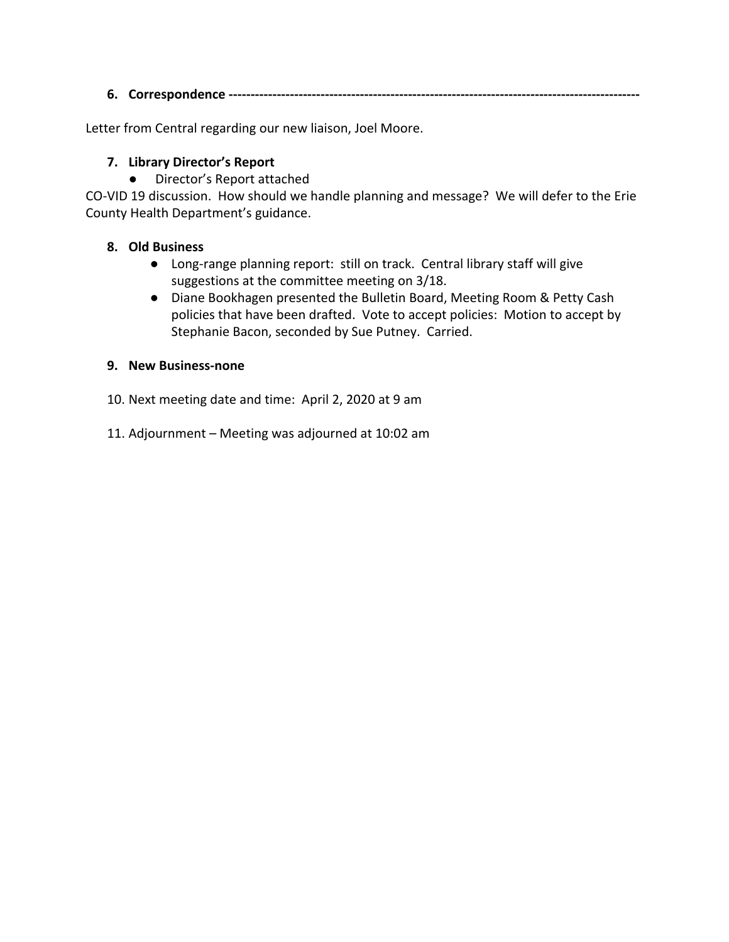# **6. Correspondence ----------------------------------------------------------------------------------------------**

Letter from Central regarding our new liaison, Joel Moore.

## **7. Library Director's Report**

● Director's Report attached

CO-VID 19 discussion. How should we handle planning and message? We will defer to the Erie County Health Department's guidance.

### **8. Old Business**

- Long-range planning report: still on track. Central library staff will give suggestions at the committee meeting on 3/18.
- Diane Bookhagen presented the Bulletin Board, Meeting Room & Petty Cash policies that have been drafted. Vote to accept policies: Motion to accept by Stephanie Bacon, seconded by Sue Putney. Carried.

### **9. New Business-none**

- 10. Next meeting date and time: April 2, 2020 at 9 am
- 11. Adjournment Meeting was adjourned at 10:02 am